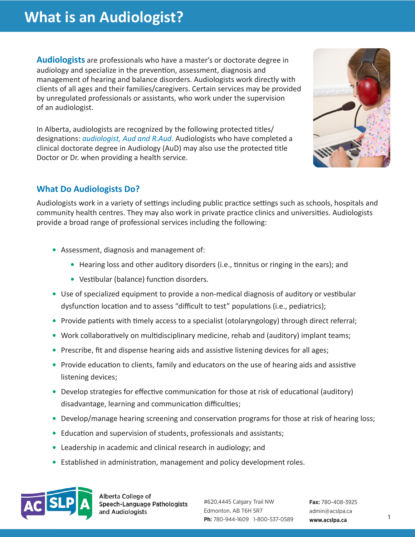**Audiologists** are professionals who have a master's or doctorate degree in audiology and specialize in the prevention, assessment, diagnosis and management of hearing and balance disorders. Audiologists work directly with clients of all ages and their families/caregivers. Certain services may be provided by unregulated professionals or assistants, who work under the supervision of an audiologist.

In Alberta, audiologists are recognized by the following protected titles/ designations: *audiologist, Aud and R.Aud*. Audiologists who have completed a clinical doctorate degree in Audiology (AuD) may also use the protected title Doctor or Dr. when providing a health service.



## **What Do Audiologists Do?**

Audiologists work in a variety of settings including public practice settings such as schools, hospitals and community health centres. They may also work in private practice clinics and universities. Audiologists provide a broad range of professional services including the following:

- **•** Assessment, diagnosis and management of:
	- **•** Hearing loss and other auditory disorders (i.e., tinnitus or ringing in the ears); and
	- **•** Vestibular (balance) function disorders.
- **•** Use of specialized equipment to provide a non-medical diagnosis of auditory or vestibular dysfunction location and to assess "difficult to test" populations (i.e., pediatrics);
- **•** Provide patients with timely access to a specialist (otolaryngology) through direct referral;
- **•** Work collaboratively on multidisciplinary medicine, rehab and (auditory) implant teams;
- **•** Prescribe, fit and dispense hearing aids and assistive listening devices for all ages;
- **•** Provide education to clients, family and educators on the use of hearing aids and assistive listening devices;
- Develop strategies for effective communication for those at risk of educational (auditory) disadvantage, learning and communication difficulties;
- **•** Develop/manage hearing screening and conservation programs for those at risk of hearing loss;
- **•** Education and supervision of students, professionals and assistants;
- **•** Leadership in academic and clinical research in audiology; and
- **•** Established in administration, management and policy development roles.



Alberta College of Speech-Language Pathologists and Audiologists

#620,4445 Calgary Trail NW Edmonton, AB T6H 5R7 **Ph:** 780-944-1609 1-800-537-0589 **[www.acslpa.ca](http://www.acslpa.ab.ca)**

**Fax:** 780-408-3925 admin@acslpa.ca